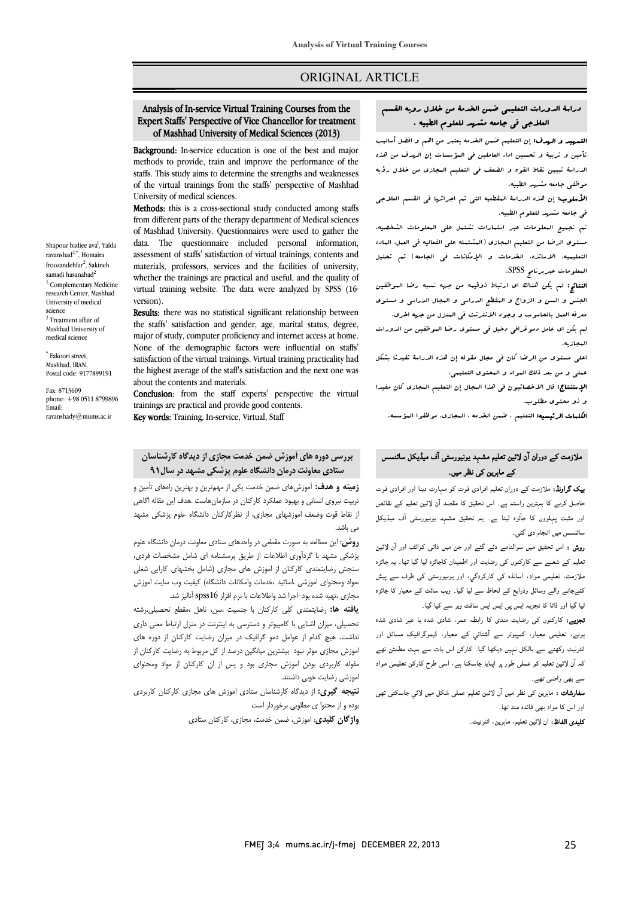# ORIGINAL ARTICLE

## Expert Staffs' Perspective of Vice Chancellor for treatment of Mashhad University of Medical Sciences (2013) Analysis of In-service Virtual Training Courses from the

Ī 

Background: In-service education is one of the best and major methods to provide, train and improve the performance of the staffs. This study aims to determine the strengths and weaknesses of the virtual trainings from the staffs' perspective of Mashhad<br>University of medical sciences University of medical sciences.

Methods: this is a cross-sectional study conducted among staffs from different parts of the therapy department of Medical sciences data. The questionnaire included personal information, assessment of staffs' satisfaction of virtual trainings, contents and materials, professors, services and the facilities of university, virtual training website. The data were analyzed by SPSS (16th) of Mashhad University. Questionnaires were used to gather the whether the trainings are practical and useful, and the quality of version).

**Results:** there was no statistical significant relationship between major of study, computer proficiency and internet access at home. None of the demographic factors were influential on staffs' satisfaction of the virtual trainings. Virtual training practicality had the highest average of the staff's satisfaction and the next one was<br>about the contents and materials the staffs' satisfaction and gender, age, marital status, degree, about the contents and materials.

Conclusion: from the staff experts' perspective the virtual trainings are practical and provide good contents.

Key words: Training, In-service, Virtual, Staff

# **بررسی دوره هاي آموزش ضمن خدمت مجازي از دیدگاه کارشناسان ستادي معاونت درمان دانشگاه علوم پزشکی مشهد در سال91**

 **زمینه و هدف:** آموزشهاي ضمن خدمت یکی از مهمترین و بهترین راههاي تأمین و تربیت نیروي انسانی و بهبود عملکرد کارکنان در سازمانهاست .هدف این مقاله اگاهی از نقاط قوت وضعف اموزشهاي مجازي، از نظرکارکنان دانشگاه علوم پزشکی مشهد می باشد.

**روسی**. این مصانعه به صورت منصفی در واحدهای نسادی معاونت درمان دانسانه عنوم<br>پزشکی مشهد با گردآوری اطلاعات از طریق پرسشنامه ای شامل مشخصات فردی، بر سنگ په بستر روت<br>سنجش رضایتمندي کارکنان از اموزش هاي مجازي (شامل بخشهاي کارایی شغلی ،مواد ومحتواي اموزشی ،اساتید ،خدمات وامکانات دانشگاه) کیفیت وب سایت اموزش مجازي ،تهیه شده بود-اجرا شد واطلاعات با نرم افزار 16spss آنالیز شد. **روش**: این مطالعه به صورت مقطعی در واحدهاي ستادي معاونت درمان دانشگاه علوم

 **یافته ها:** رضایتمندي کلی کارکنان با جنسیت ،سن، تاهل ،مقطع تحصیلی،رشته تحصیلی، میزان اشنایی با کامپیوتر و دسترسی به اینترنت در منزل ارتباط معنی داري نداشت. هیچ کدام از عوامل دمو گرافیک در میزان رضایت کارکنان از دوره هاي موزش مجازی موثر نبود بیشترین میانگین درصد از کل مربوط به رضایت کارکنان از<br>سد کارکنان از کلیستان از موضوع به این کنیم از این کنیم این موضوع به این این این اموزشی رضایت خوبی داشتند. مقوله کاربردي بودن اموزش مجازي بود و پس از ان کارکنان از مواد ومحتواي

 **نتیجه گیري:** از دیدگاه کارشناسان ستادي اموزش هاي مجازي کارکنان کاربردي بوده و از محتوا ي مطلوبی برخوردار است

**واژگان کلیدي**: اموزش، ضمن خدمت، مجازي، کارکنان ستادي

# دراسة الدورات التعلیمی ضمن الخدمۀ من خلال رویه القسم<br>منصوب السمنی العلاجی فی جامعه مشهد للعلوم الطبیه .

Ī ֦

ا**لتسهید و الهدف:** إن التعلیم ضمن الخدمه یعتبر من اهم و افضل أسالیب<br>. تأمین و تربیۀ و تحسین اداء العاملین فی المؤسسات إن الهدف من هذه مدرس جیبین حدد العوار و .<br>موظفی جامعه مشهد الطبیه. الدراسۀ تبیین نقاط القوه و الضعف فی التعلیم المجازي من خلال رؤیه

الوسی به سلسم سورتین.<br>**الأسلوب:** إن هذه الدراسۀ المقطعیه التی تم اجرائها فی القسم العلاجی فی جامعه مشهد للعلوم الطبیه.

 تم تجمیع المعلومات عبر استمارات تشتمل علی المعلومات الشخصیه، مستوي الرضا من التعلیم المجازي (المشتمله علی الفعالیه فی العمل، الماده التعلیمیه، الاساتذه، الخدمات و الإمکانات فی الجامعه) تم تحلیل المعلومات عبربرنامج SPSS.

 النتائج: لم یکن هناك اي ارتباط ذوقیمه من جهه نسبه رضا الموظفین الجنس و السن و الزواج و المقطع الدراسی و المجال الدراسی و مستوي معرفه العمل بالحاسوب و وجود الانترنت فی المنزل من جهه اخري.

 لم یکن اي عامل دموغرافی دخیل فی مستوي رضا الموظفین من الدورات المجازیه.

 اعلی مستوي من الرضا کان فی مجال مقوله إن هذه الدراسۀ تفیدنا بشکل عملی و من بعد ذلک المواد و المحتوي التعلیمی.

ا**لإستنتاج:** قال الاخصائیون فی هذا البجال إن التعلیم البجازی کان مفیدا<br>. و ذو محتوي مطلوب.

Ĩ ا**لکلمات الرئیسیه:** التعلیم ، ضمن الخدمه ، الـمجازی. موظفوا المؤسسه.<br>.

# ملازمت کے دوران آن لائین تعلیم مشہد یونیورسٹی آف میڈیکل سائنسس کے ماہرین کی نظر میں۔

**یک گراونڈ:** ملازمت کے دوران تعلیم افرادی قوت کو مہارت دینا اور افرادی قوت ۔<br>حاصل کرنے کا بہترین راستہ ہے۔ اس تحقیق کا مقصد آن لائین تعلیم کے نقائص اور مثبت پہلووں کا جآئزہ لینا ہے۔ یہ تحقیق مشہد یونیورسٹی آف میڈیکل سائنسس میں انجام دی گئي۔

ر**وش :** اس تحقیق میں سوالنامے دئے گئے اور جن میں ذاتی کوائف اور آن لائین نعلیم کے شعبے سے کارکنوں کی رضایت اور اطمینان کاجائزہ لیا گیا تھا۔ یہ جائزہ ملازمت، تعلیمی مواد، اساتذہ کی کارکردگي، اور یونیورسٹی کی طرف سے پیش کئےجانے والے وسائل وذرایع کے لحاظ سے لیا گیا۔ ویب سائٹ کے معیار کا جائزہ<br>۔ یا گیا اور ڈاٹا کا تجزیہ ایس پی ایس ایس سافٹ ویر سے کیا گیا۔<br>۔

**نجزیے:** کارکنوں کی رضایت مندی کا رابطہ عمر، شادی شدہ یا غیر شادی شدہ<br>۔ ، ر، آ ر، ڈا اور مربیت رہے ہے بہت س مہین میں ہے ۔ درس میں بہت ہے بہت ہستس ہے<br>کہ آن لائین تعلیم کو عملی طور پر اپنایا جاسکتا ہے، اسی طرح کارکن تعلیمی مواد ۔ ت ۔ ت ۔ ۔<br>سے بھی راضی تھے۔ انٹرنیٹ رکھنے سے بالکل نہیں دیکھا گیا۔ کارکن اس بات سے بہت مطمئن تھے

ے معاملہ ہے۔<br>**سفارشات :** ماہرین کی نظر میں آن لائین تعلیم عملی شکل میں لائي جاسکتی تھی اور اس کا مواد بھی فائدہ مند تھا۔

**تلیدی الفاظ:** ان لائین تعلیم، ماہرین، انٹرنیٹ۔

Shapour badiee ava<sup>l</sup>, Yalda ravanshad<sup>2,\*</sup>, Homaira froozandehfar<sup>2</sup>, Sakineh samadi hasanabad $^2$ <sup>1</sup> Complementary Medicine research Center, Mashhad University of medical science <sup>2</sup> Treatment affair of Mashhad University of medical science

\* Fakoori street, Mashhad, IRAN, Postal code: 9177899191

Fax: 8713609 phone: +98 0511 8799896 Email: ravanshady@mums.ac.ir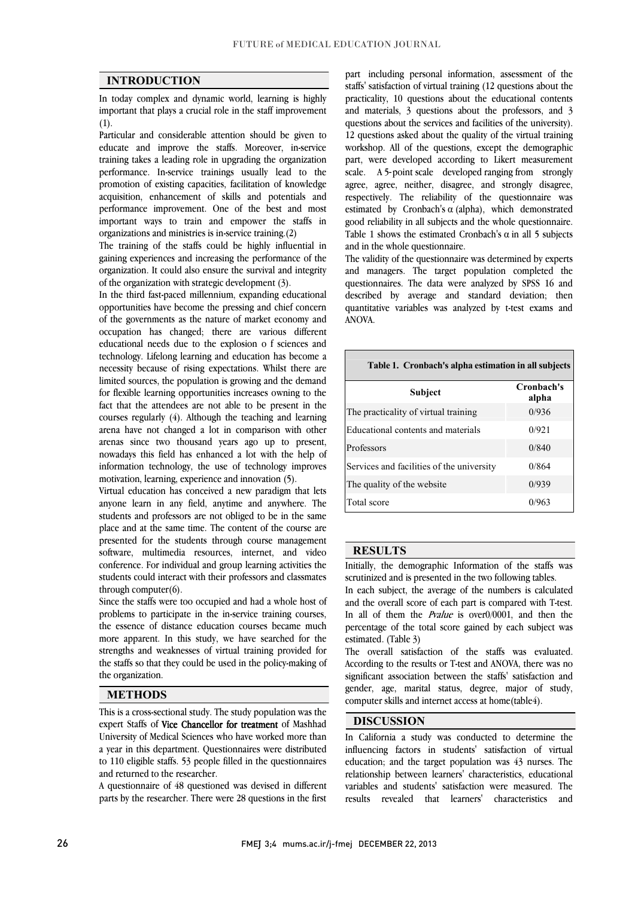$\overline{a}$  $\overline{a}$ 

## **INTRODUCTION**

 In today complex and dynamic world, learning is highly important that plays a crucial role in the staff improvement (1).

 Particular and considerable attention should be given to educate and improve the staffs. Moreover, in-service training takes a leading role in upgrading the organization performance. In-service trainings usually lead to the acquisition, enhancement of skills and potentials and performance improvement. One of the best and most important ways to train and empower the staffs in promotion of existing capacities, facilitation of knowledge organizations and ministries is in-service training.(2)

organizations and ministries is in-service training.(2)<br>The training of the staffs could be highly influential in gaining experiences and increasing the performance of the organization. It could also ensure the survival and integrity of the organization with strategic development (3).

 In the third fast-paced millennium, expanding educational of the governments as the nature of market economy and occupation has changed; there are various different educational needs due to the explosion o f sciences and necessity because of rising expectations. Whilst there are limited sources, the population is growing and the demand for flexible learning opportunities increases owning to the fact that the attendees are not able to be present in the arena have not changed a lot in comparison with other arenas since two thousand years ago up to present, nowadays this field has enhanced a lot with the help of information technology, the use of technology improves opportunities have become the pressing and chief concern technology. Lifelong learning and education has become a courses regularly (4). Although the teaching and learning motivation, learning, experience and innovation (5).

 Virtual education has conceived a new paradigm that lets anyone learn in any field, anytime and anywhere. The students and professors are not obliged to be in the same place and at the same time. The content of the course are software, multimedia resources, internet, and video conference. For individual and group learning activities the students could interact with their professors and classmates presented for the students through course management through computer(6).

 Since the staffs were too occupied and had a whole host of problems to participate in the in-service training courses, the essence of distance education courses became much more apparent. In this study, we have searched for the strengths and weaknesses of virtual training provided for<br>the staffs so that they could be used in the policy-making of strengths and weaknesses of virtual training provided for the organization.

#### **METHODS**

 $\overline{a}$ expert Staffs of **Vice Chancellor for treatment** of Mashhad University of Medical Sciences who have worked more than a year in this department. Questionnaires were distributed to 110 eligible staffs. 53 people filled in the questionnaires This is a cross-sectional study. The study population was the and returned to the researcher.

 A questionnaire of 48 questioned was devised in different parts by the researcher. There were 28 questions in the first

 staffs' satisfaction of virtual training (12 questions about the practicality, 10 questions about the educational contents and materials, 3 questions about the professors, and 3 12 questions asked about the quality of the virtual training workshop. All of the questions, except the demographic part, were developed according to Likert measurement scale. A 3-point scale developed ranging from strongly<br>agree, agree, neither, disagree, and strongly disagree, respectively. The reliability of the questionnaire was estimated by Cronbach's  $\alpha$  (alpha), which demonstrated good reliability in all subjects and the whole questionnaire. Table 1 shows the estimated Cronbach's  $\alpha$  in all 5 subjects part including personal information, assessment of the questions about the services and facilities of the university). scale. A 5-point scale developed ranging from strongly and in the whole questionnaire.

The validity of the questionnaire was determined by experts and managers. The target population completed the questionnaires. The data were analyzed by SPSS 16 and Į quantitative variables was analyzed by t-test exams and described by average and standard deviation; then ANOVA.

| Table 1. Cronbach's alpha estimation in all subjects |                     |  |  |  |
|------------------------------------------------------|---------------------|--|--|--|
| <b>Subject</b>                                       | Cronbach's<br>alpha |  |  |  |
| The practicality of virtual training                 | 0/936               |  |  |  |
| Educational contents and materials                   | 0/921               |  |  |  |
| Professors                                           | 0/840               |  |  |  |
| Services and facilities of the university            | 0/864               |  |  |  |
| The quality of the website                           | 0/939               |  |  |  |
| Total score                                          | 0/963               |  |  |  |

#### **RESULTS**

 Initially, the demographic Information of the staffs was scrutinized and is presented in the two following tables.

In each subject, the average of the numbers is calculated<br>and the overall score of each part is compared with T-test. In all of them the *Pvalue* is over0/0001, and then the percentage of the total score gained by each subject was  $\overline{a}$ In each subject, the average of the numbers is calculated estimated. (Table 3)

 According to the results or T-test and ANOVA, there was no significant association between the staffs' satisfaction and gender, age, marital status, degree, major of study, The overall satisfaction of the staffs was evaluated. computer skills and internet access at home(table4).

## **DISCUSSION**

 In California a study was conducted to determine the influencing factors in students' satisfaction of virtual education; and the target population was 43 nurses. The variables and students' satisfaction were measured. The and relationship between learners' characteristics, educational results revealed that learners' characteristics

I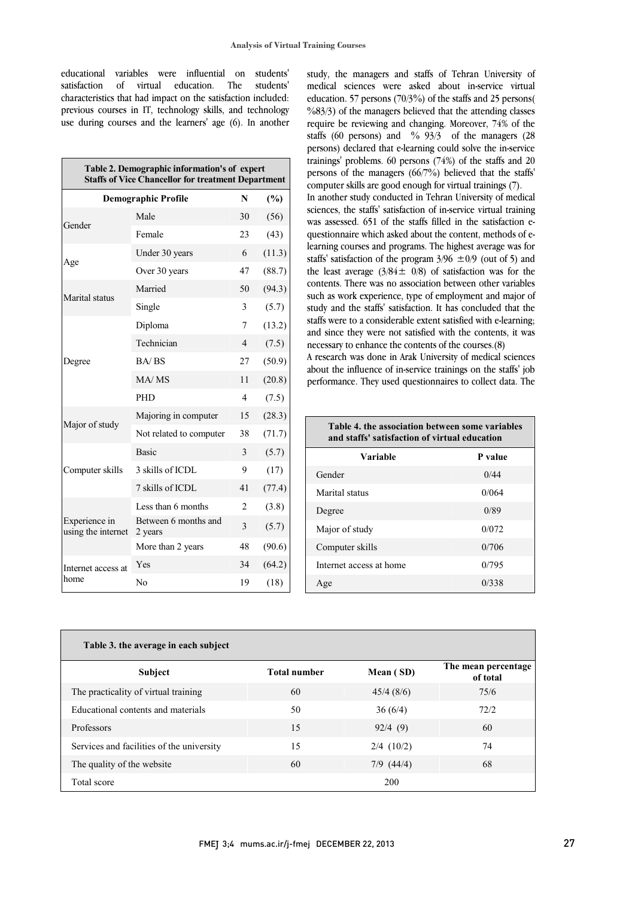educational variables were influential on students' students' characteristics that had impact on the satisfaction included: previous courses in IT, technology skills, and technology use during courses and the learners' age (6). In another satisfaction of virtual education. The

| Table 2. Demographic information's of expert<br><b>Staffs of Vice Chancellor for treatment Department</b> |                                 |                |        |  |
|-----------------------------------------------------------------------------------------------------------|---------------------------------|----------------|--------|--|
|                                                                                                           | <b>Demographic Profile</b>      | N              | (%)    |  |
| Gender                                                                                                    | Male                            | 30             | (56)   |  |
|                                                                                                           | Female                          | 23             | (43)   |  |
| Age                                                                                                       | Under 30 years                  | 6              | (11.3) |  |
|                                                                                                           | Over 30 years                   | 47             | (88.7) |  |
| Marital status                                                                                            | Married                         | 50             | (94.3) |  |
|                                                                                                           | Single                          | 3              | (5.7)  |  |
|                                                                                                           | Diploma                         | $\overline{7}$ | (13.2) |  |
|                                                                                                           | Technician                      | 4              | (7.5)  |  |
| Degree                                                                                                    | BA/BS                           | 27             | (50.9) |  |
|                                                                                                           | MA/MS                           | 11             | (20.8) |  |
|                                                                                                           | <b>PHD</b>                      | $\overline{4}$ | (7.5)  |  |
| Major of study                                                                                            | Majoring in computer            | 15             | (28.3) |  |
|                                                                                                           | Not related to computer         | 38             | (71.7) |  |
| Computer skills                                                                                           | <b>Basic</b>                    | 3              | (5.7)  |  |
|                                                                                                           | 3 skills of ICDL                | 9              | (17)   |  |
|                                                                                                           | 7 skills of ICDL                | 41             | (77.4) |  |
| Experience in<br>using the internet                                                                       | Less than 6 months              | $\overline{c}$ | (3.8)  |  |
|                                                                                                           | Between 6 months and<br>2 years | 3              | (5.7)  |  |
|                                                                                                           | More than 2 years               | 48             | (90.6) |  |
| Internet access at                                                                                        | Yes                             | 34             | (64.2) |  |
| home                                                                                                      | No                              | 19             | (18)   |  |

 study, the managers and staffs of Tehran University of medical sciences were asked about in-service virtual education. 57 persons (70/3%) of the staffs and 25 persons( %83/3) of the managers believed that the attending classes staffs (60 persons) and  $\frac{1}{2}$  of the managers (28 staffs (60 persons) and  $\frac{1}{2}$  of the managers (28 trainings' problems. 60 persons (74%) of the staffs and 20 persons of the managers (66/7%) believed that the staffs' require be reviewing and changing. Moreover, 74% of the persons) declared that e-learning could solve the in-service computer skills are good enough for virtual trainings (7).

In another study conducted in Tehran University of medical sciences, the staffs' satisfaction of in-service virtual training was assessed. 651 of the staffs filled in the satisfaction e- questionnaire which asked about the content, methods of estaffs' satisfaction of the program  $3/96 \pm 0/9$  (out of 5) and the least average  $(3/84 \pm 0/8)$  of satisfaction was for the contents. There was no association between other variables such as work experience, type of employment and major of<br>study and the staffs' satisfaction. It has concluded that the state) and the state considerable extent satisfied with e-learning; and since they were not satisfied with the contents, it was learning courses and programs. The highest average was for such as work experience, type of employment and major of necessary to enhance the contents of the courses.(8)

about the influence of in-service trainings on the staffs' job performance. They used questionnaires to collect data. The A research was done in Arak University of medical sciences

| Table 4, the association between some variables<br>and staffs' satisfaction of virtual education |  |  |  |
|--------------------------------------------------------------------------------------------------|--|--|--|
| P value                                                                                          |  |  |  |
| 0/44                                                                                             |  |  |  |
| 0/064                                                                                            |  |  |  |
| 0/89                                                                                             |  |  |  |
| 0/072                                                                                            |  |  |  |
| 0/706                                                                                            |  |  |  |
| 0/795                                                                                            |  |  |  |
| 0/338                                                                                            |  |  |  |
|                                                                                                  |  |  |  |

| Table 3. the average in each subject      |                     |                |                                 |
|-------------------------------------------|---------------------|----------------|---------------------------------|
| <b>Subject</b>                            | <b>Total number</b> | Mean (SD)      | The mean percentage<br>of total |
| The practicality of virtual training      | 60                  | 45/4(8/6)      | 75/6                            |
| Educational contents and materials        | 50                  | 36(6/4)        | 72/2                            |
| Professors                                | 15                  | 92/4(9)        | 60                              |
| Services and facilities of the university | 15                  | $2/4$ (10/2)   | 74                              |
| The quality of the website                | 60                  | $7/9$ $(44/4)$ | 68                              |
| Total score                               |                     | 200            |                                 |

 $\overline{a}$